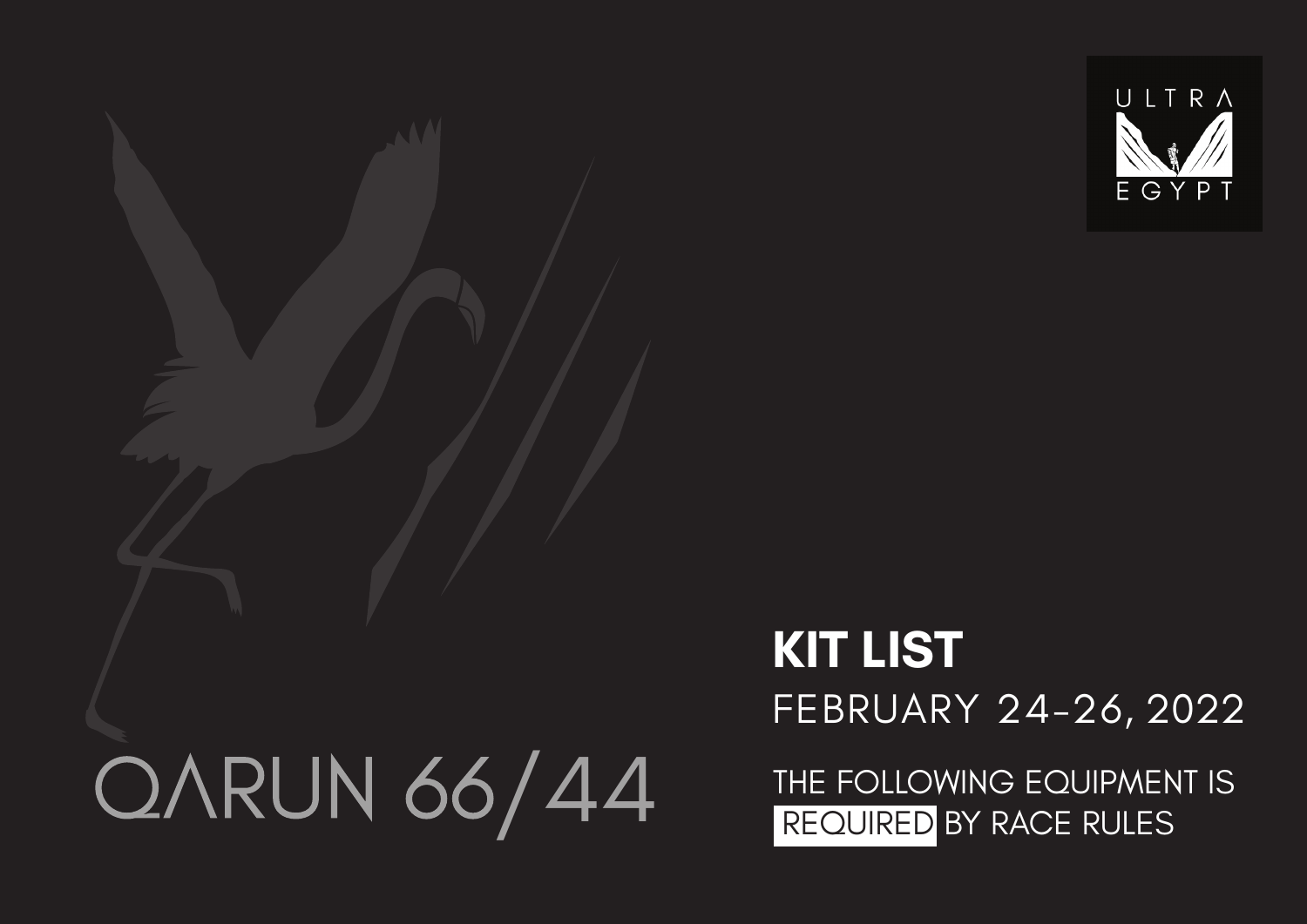

# OARUN 66/44

# FEBRUARY 24-26, 2022 **KIT LIST**

THE FOLLOWING EQUIPMENT IS REQUIRED BY RACE RULES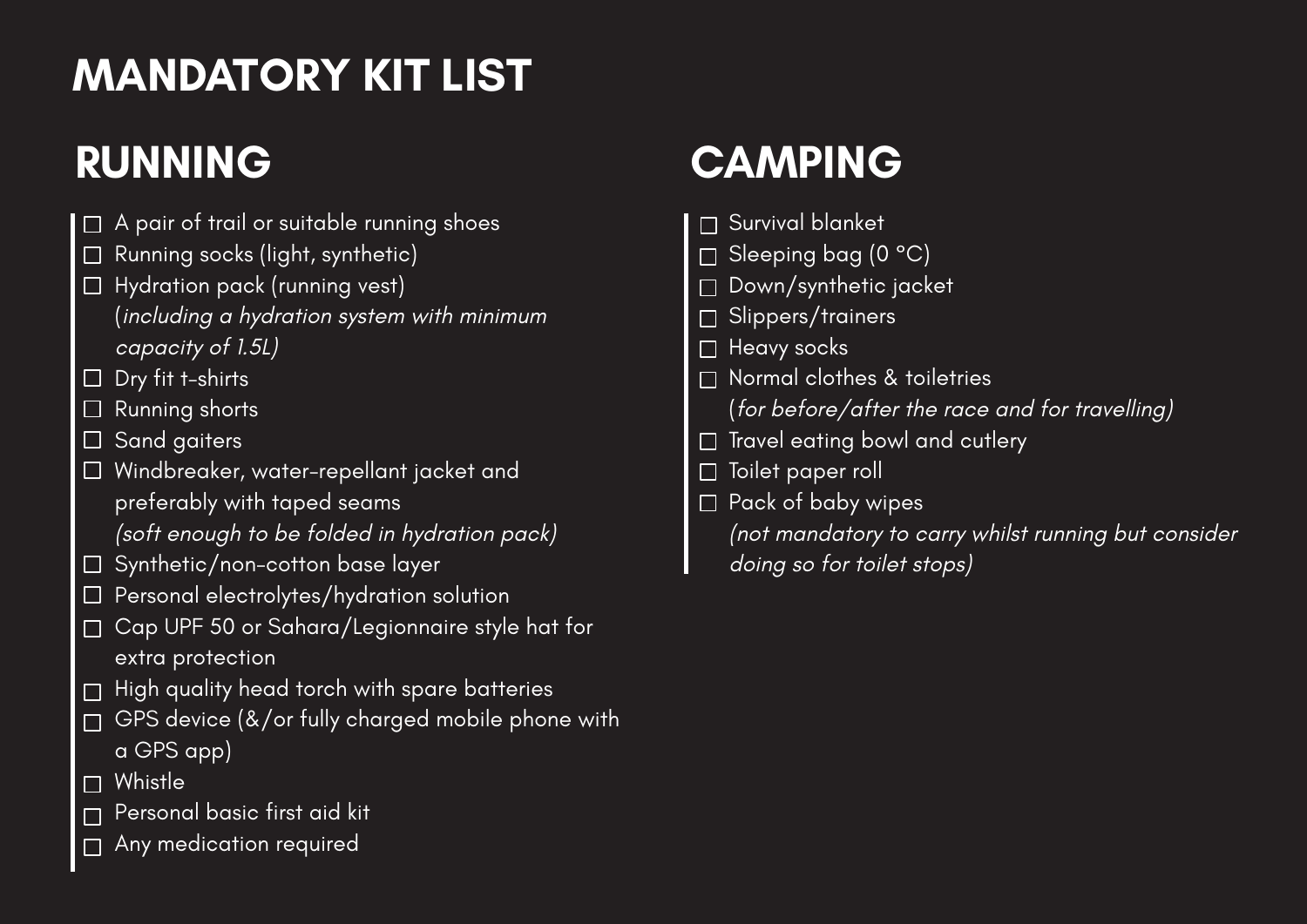## **MANDATORY KIT LIST**

- $\Box$  A pair of trail or suitable running shoes
- $\Box$  Running socks (light, synthetic)
- $\Box$  Hydration pack (running vest) (including a hydration system with minimum capacity of 1.5L)
- $\Box$  Dry fit t-shirts
- $\Box$  Running shorts
- $\overline{\Box}$  Sand gaiters
- Windbreaker, water-repellant jacket and preferably with taped seams
	- (soft enough to be folded in hydration pack)
- $\Box$  Synthetic/non-cotton base layer
- □ Personal electrolytes/hydration solution
- Cap UPF 50 or Sahara/Legionnaire style hat for extra protection
- High quality head torch with spare batteries
- GPS device (&/or fully charged mobile phone with a GPS app)
- □ Whistle
- Personal basic first aid kit
- Any medication required  $\Box$

### **RUNNING CAMPING**

- Survival blanket
- Sleeping bag (0 °C)
- Down/synthetic jacket
- □ Slippers/trainers
- $\Box$  Heavy socks
- □ Normal clothes & toiletries (for before/after the race and for travelling)
- $\Box$  Travel eating bowl and cutlery
- □ Toilet paper roll
- $\square$  Pack of baby wipes
	- (not mandatory to carry whilst running but consider
	- doing so for toilet stops)